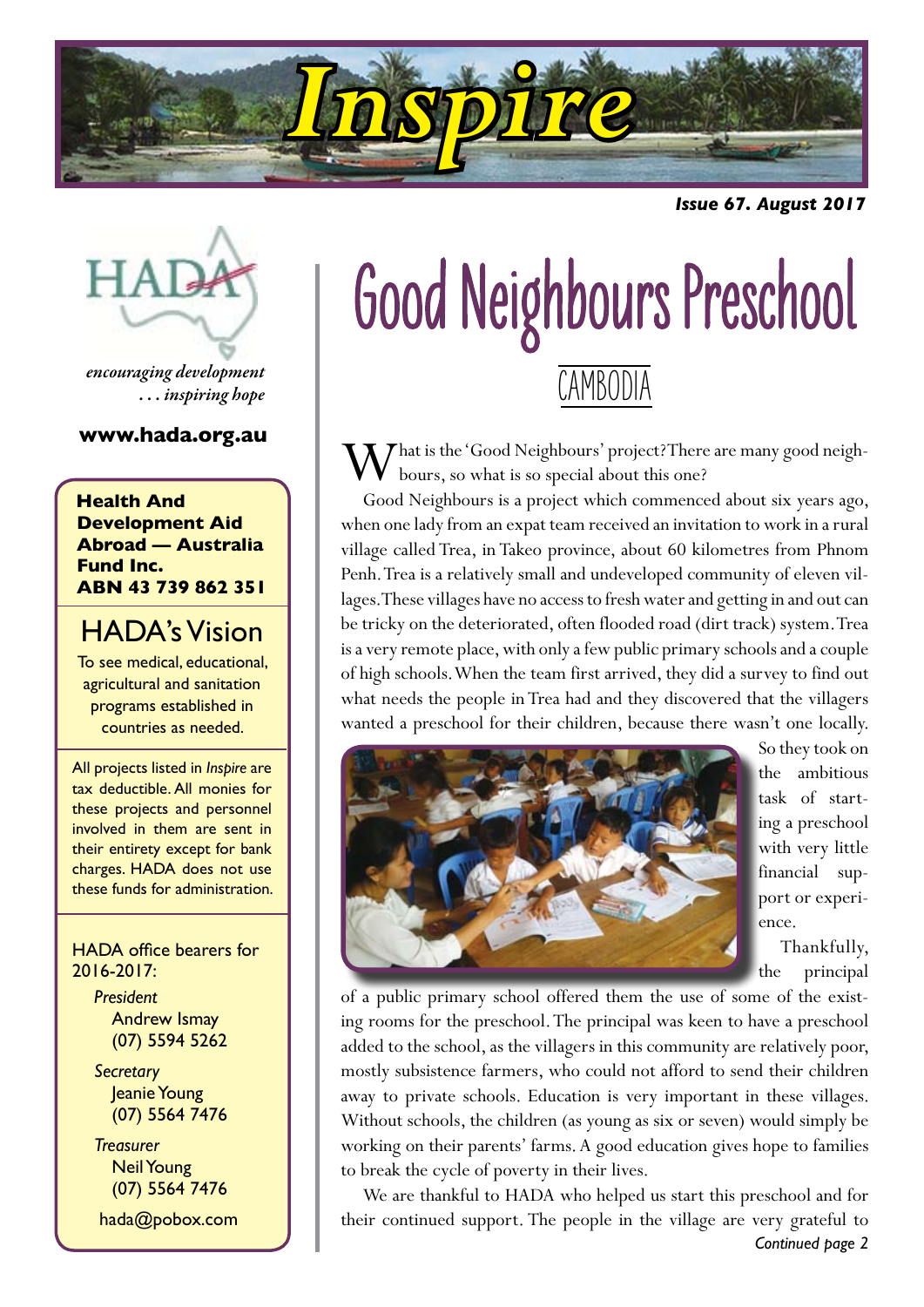

*Issue 67. August 2017*



*encouraging development . . . inspiring hope*

#### **www.hada.org.au**

**Health And Development Aid Abroad — Australia Fund Inc. ABN 43 739 862 351**

#### HADA's Vision

To see medical, educational, agricultural and sanitation programs established in countries as needed.

All projects listed in *Inspire* are tax deductible. All monies for these projects and personnel involved in them are sent in their entirety except for bank charges. HADA does not use these funds for administration.

HADA office bearers for 2016-2017:

> *President* Andrew Ismay (07) 5594 5262

> *Secretary* Jeanie Young (07) 5564 7476

> *Treasurer* Neil Young (07) 5564 7476

hada@pobox.com

# Good Neighbours Preschool **CAMBODIA**

**T** That is the 'Good Neighbours' project? There are many good neighbours, so what is so special about this one?

Good Neighbours is a project which commenced about six years ago, when one lady from an expat team received an invitation to work in a rural village called Trea, in Takeo province, about 60 kilometres from Phnom Penh. Trea is a relatively small and undeveloped community of eleven villages. These villages have no access to fresh water and getting in and out can be tricky on the deteriorated, often flooded road (dirt track) system. Trea is a very remote place, with only a few public primary schools and a couple of high schools. When the team first arrived, they did a survey to find out what needs the people in Trea had and they discovered that the villagers wanted a preschool for their children, because there wasn't one locally.



So they took on the ambitious task of starting a preschool with very little financial support or experience.

Thankfully, the principal

of a public primary school offered them the use of some of the existing rooms for the preschool. The principal was keen to have a preschool added to the school, as the villagers in this community are relatively poor, mostly subsistence farmers, who could not afford to send their children away to private schools. Education is very important in these villages. Without schools, the children (as young as six or seven) would simply be working on their parents' farms. A good education gives hope to families to break the cycle of poverty in their lives.

We are thankful to HADA who helped us start this preschool and for their continued support. The people in the village are very grateful to *Continued page 2*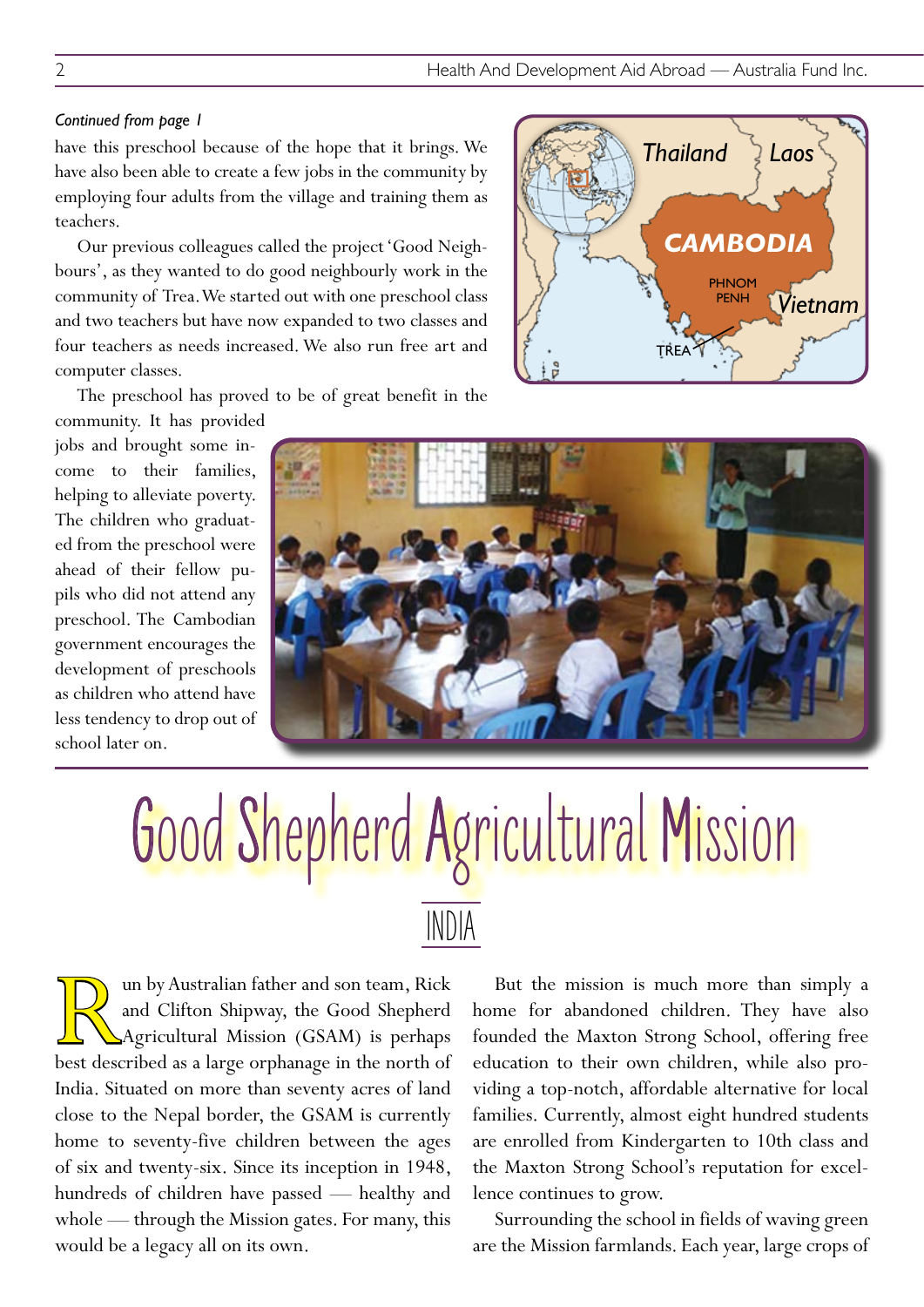#### *Continued from page 1*

have this preschool because of the hope that it brings. We have also been able to create a few jobs in the community by employing four adults from the village and training them as teachers.

Our previous colleagues called the project 'Good Neighbours', as they wanted to do good neighbourly work in the community of Trea. We started out with one preschool class and two teachers but have now expanded to two classes and four teachers as needs increased. We also run free art and computer classes.

The preschool has proved to be of great benefit in the

community. It has provided jobs and brought some income to their families, helping to alleviate poverty. The children who graduated from the preschool were ahead of their fellow pupils who did not attend any preschool. The Cambodian government encourages the development of preschools as children who attend have less tendency to drop out of school later on.



## Good Shepherd Agricultural Mission INDIA

IV un by Australian father and son team, Rick<br>
and Clifton Shipway, the Good Shepherd<br>
Agricultural Mission (GSAM) is perhaps<br>
best described as a large orphanage in the north of and Clifton Shipway, the Good Shepherd Agricultural Mission (GSAM) is perhaps India. Situated on more than seventy acres of land close to the Nepal border, the GSAM is currently home to seventy-five children between the ages of six and twenty-six. Since its inception in 1948, hundreds of children have passed — healthy and whole — through the Mission gates. For many, this would be a legacy all on its own.

But the mission is much more than simply a home for abandoned children. They have also founded the Maxton Strong School, offering free education to their own children, while also providing a top-notch, affordable alternative for local families. Currently, almost eight hundred students are enrolled from Kindergarten to 10th class and the Maxton Strong School's reputation for excellence continues to grow.

Surrounding the school in fields of waving green are the Mission farmlands. Each year, large crops of



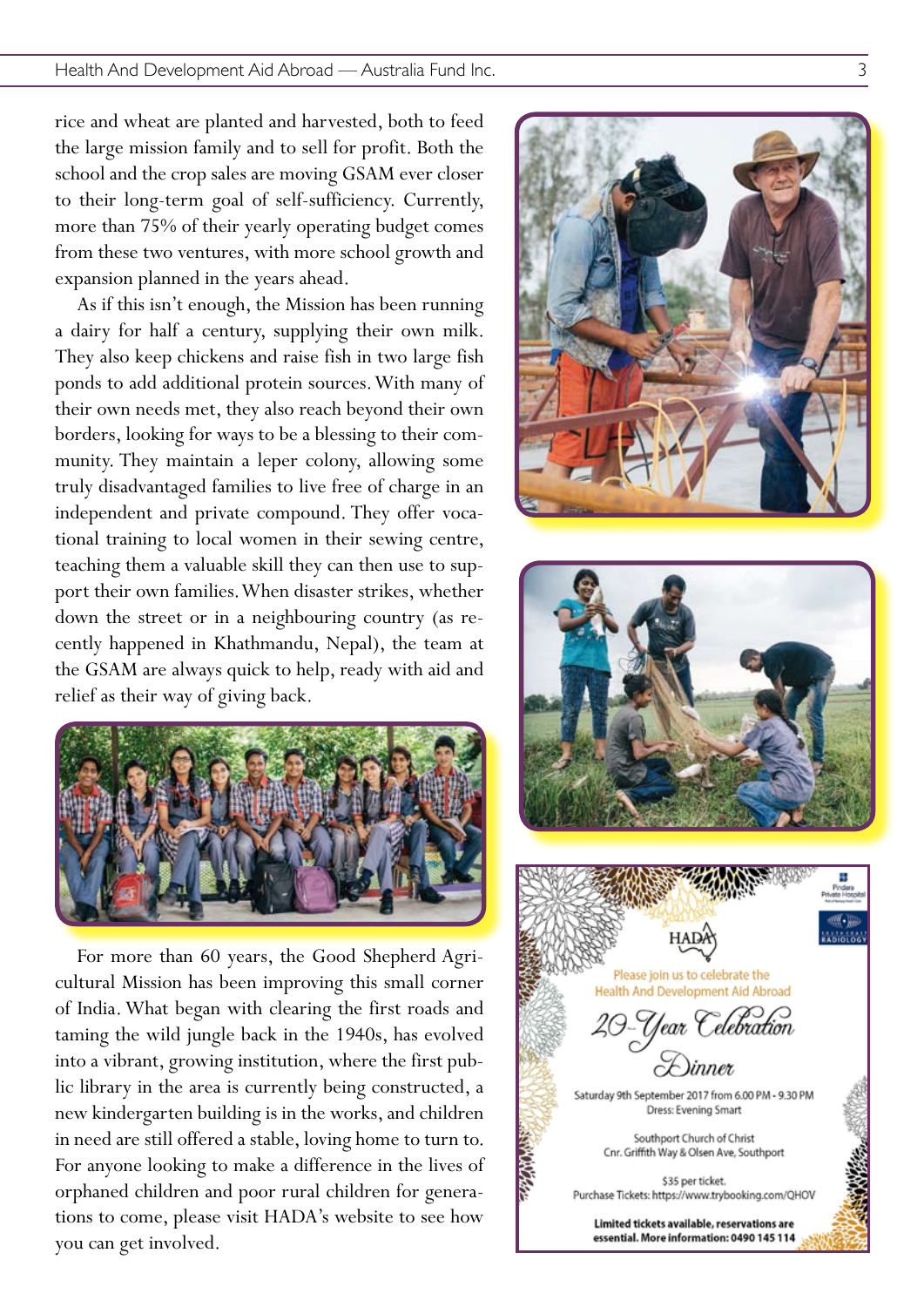rice and wheat are planted and harvested, both to feed the large mission family and to sell for profit. Both the school and the crop sales are moving GSAM ever closer to their long-term goal of self-sufficiency. Currently, more than 75% of their yearly operating budget comes from these two ventures, with more school growth and expansion planned in the years ahead.

As if this isn't enough, the Mission has been running a dairy for half a century, supplying their own milk. They also keep chickens and raise fish in two large fish ponds to add additional protein sources. With many of their own needs met, they also reach beyond their own borders, looking for ways to be a blessing to their com munity. They maintain a leper colony, allowing some truly disadvantaged families to live free of charge in an independent and private compound. They offer voca tional training to local women in their sewing centre, teaching them a valuable skill they can then use to sup port their own families. When disaster strikes, whether down the street or in a neighbouring country (as re cently happened in Khathmandu, Nepal), the team at the GSAM are always quick to help, ready with aid and relief as their way of giving back.



For more than 60 years, the Good Shepherd Agricultural Mission has been improving this small corner of India. What began with clearing the first roads and taming the wild jungle back in the 1940s, has evolved into a vibrant, growing institution, where the first pub lic library in the area is currently being constructed, a new kindergarten building is in the works, and children in need are still offered a stable, loving home to turn to. For anyone looking to make a difference in the lives of orphaned children and poor rural children for genera tions to come, please visit HADA's website to see how you can get involved.





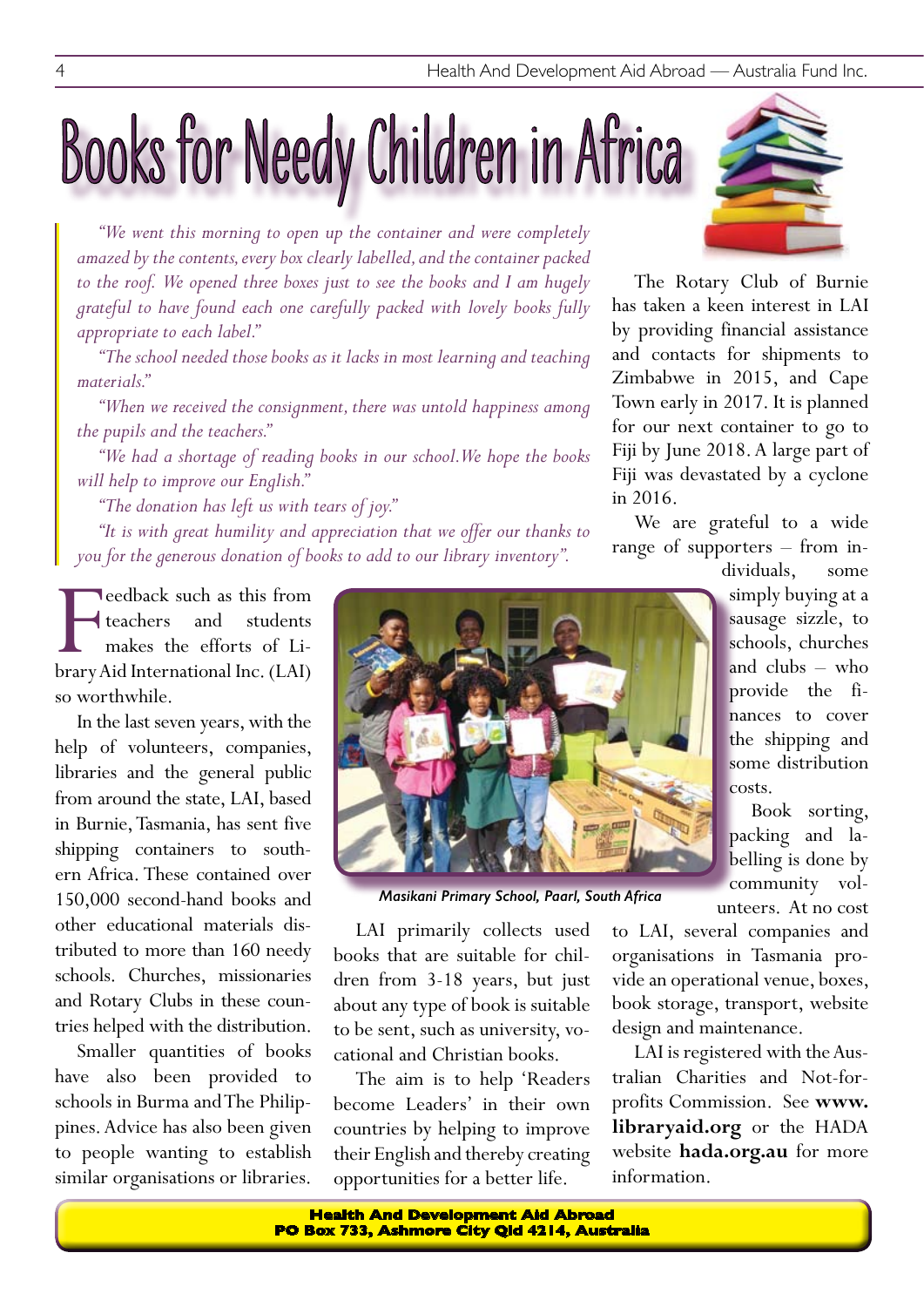# Books for Needy Children in Africa

*"We went this morning to open up the container and were completely amazed by the contents, every box clearly labelled, and the container packed to the roof. We opened three boxes just to see the books and I am hugely grateful to have found each one carefully packed with lovely books fully appropriate to each label."*

*"The school needed those books as it lacks in most learning and teaching materials."*

*"When we received the consignment, there was untold happiness among the pupils and the teachers."*

*"We had a shortage of reading books in our school. We hope the books will help to improve our English."*

*"The donation has left us with tears of joy."*

*"It is with great humility and appreciation that we offer our thanks to you for the generous donation of books to add to our library inventory".*

**F**<br>**Example 18 Fernal Aid Aid Aid Aid Aid Aid Aid International Inc. (LAI)<br><b>Property Aid International Inc.** (LAI) **Teedback such as this from** teachers and students makes the efforts of Liso worthwhile.

In the last seven years, with the help of volunteers, companies, libraries and the general public from around the state, LAI, based in Burnie, Tasmania, has sent five shipping containers to southern Africa. These contained over 150,000 second-hand books and other educational materials distributed to more than 160 needy schools. Churches, missionaries and Rotary Clubs in these countries helped with the distribution.

Smaller quantities of books have also been provided to schools in Burma and The Philippines. Advice has also been given to people wanting to establish similar organisations or libraries.



*Masikani Primary School, Paarl, South Africa*

LAI primarily collects used books that are suitable for children from 3-18 years, but just about any type of book is suitable to be sent, such as university, vocational and Christian books.

The aim is to help 'Readers become Leaders' in their own countries by helping to improve their English and thereby creating opportunities for a better life.



The Rotary Club of Burnie has taken a keen interest in LAI by providing financial assistance and contacts for shipments to Zimbabwe in 2015, and Cape Town early in 2017. It is planned for our next container to go to Fiji by June 2018. A large part of Fiji was devastated by a cyclone in 2016.

We are grateful to a wide range of supporters – from in-

dividuals, some simply buying at a sausage sizzle, to schools, churches and clubs – who provide the finances to cover the shipping and some distribution costs.

Book sorting, packing and labelling is done by community volunteers. At no cost

to LAI, several companies and organisations in Tasmania provide an operational venue, boxes, book storage, transport, website design and maintenance.

LAI is registered with the Australian Charities and Not-forprofits Commission. See **www. libraryaid.org** or the HADA website **hada.org.au** for more information.

**Health And Development Aid Abroad PO Box 733, Ashmore City Qld 4214, Australia**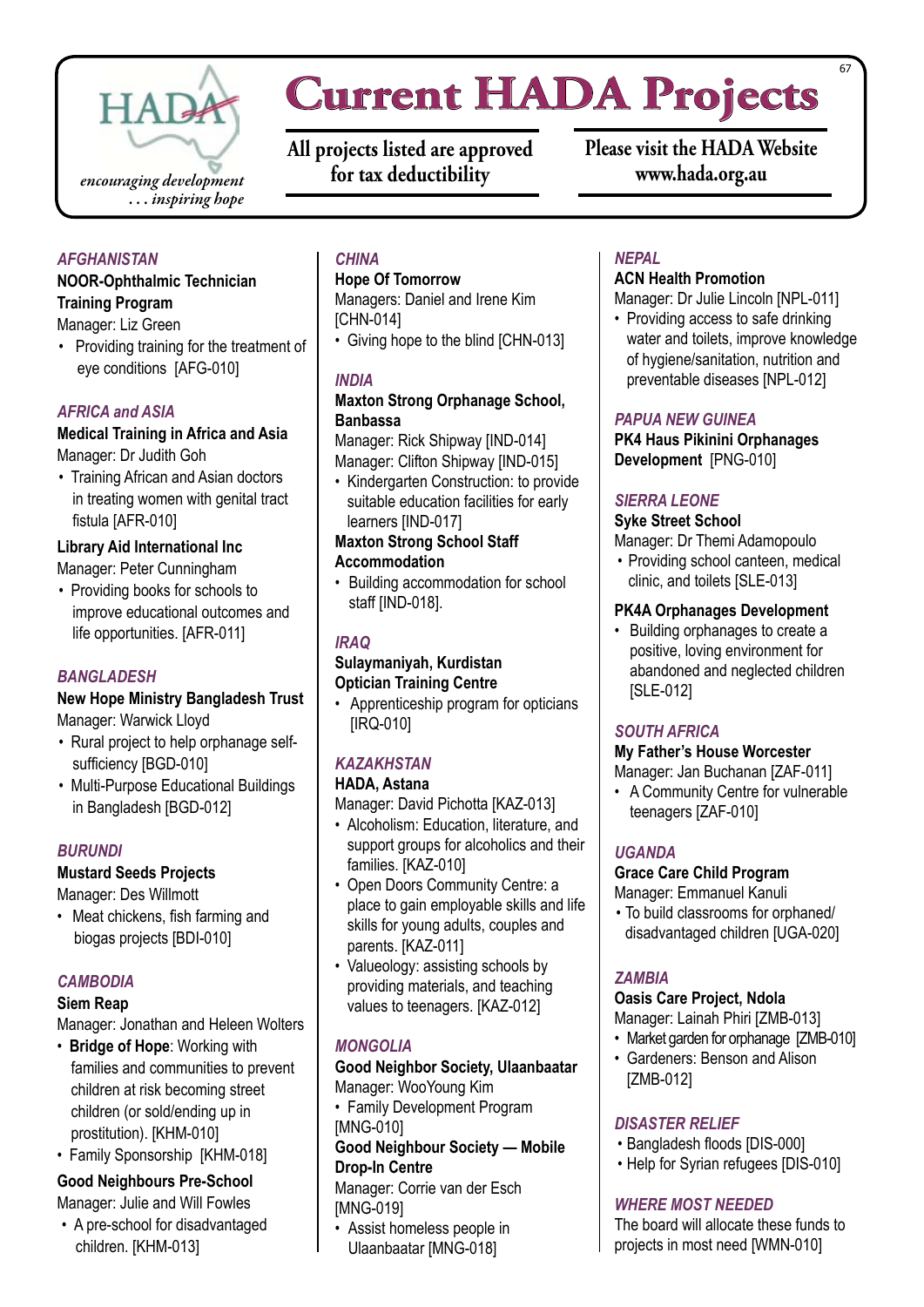

### **Current HADA Projects**

**All projects listed are approved for tax deductibility**

**Please visit the HADA Website www.hada.org.au**

#### *AFGHANISTAN*

#### **NOOR-Ophthalmic Technician Training Program**

Manager: Liz Green

• Providing training for the treatment of eye conditions [AFG-010]

#### *AFRICA and ASIA*

#### **Medical Training in Africa and Asia**  Manager: Dr Judith Goh

• Training African and Asian doctors in treating women with genital tract fistula [AFR-010]

#### **Library Aid International Inc**

Manager: Peter Cunningham

• Providing books for schools to improve educational outcomes and life opportunities. [AFR-011]

#### *BANGLADESH*

#### **New Hope Ministry Bangladesh Trust**

Manager: Warwick Lloyd

- Rural project to help orphanage selfsufficiency [BGD-010]
- Multi-Purpose Educational Buildings in Bangladesh [BGD-012]

#### *BURUNDI*

#### **Mustard Seeds Projects**

Manager: Des Willmott

• Meat chickens, fish farming and biogas projects [BDI-010]

#### *CAMBODIA*

#### **Siem Reap**

Manager: Jonathan and Heleen Wolters

- • **Bridge of Hope**: Working with families and communities to prevent children at risk becoming street children (or sold/ending up in prostitution). [KHM-010]
- Family Sponsorship [KHM-018]

#### **Good Neighbours Pre-School**

Manager: Julie and Will Fowles

• A pre-school for disadvantaged children. [KHM-013]

#### *CHINA*

#### **Hope Of Tomorrow**

Managers: Daniel and Irene Kim [CHN-014]

• Giving hope to the blind ICHN-0131

#### *INDIA*

#### **Maxton Strong Orphanage School, Banbassa**

Manager: Rick Shipway [IND-014] Manager: Clifton Shipway [IND-015]

• Kindergarten Construction: to provide suitable education facilities for early learners [IND-017]

#### **Maxton Strong School Staff Accommodation**

• Building accommodation for school staff [IND-018].

#### *IRAQ*

#### **Sulaymaniyah, Kurdistan Optician Training Centre**

• Apprenticeship program for opticians [IRQ-010]

#### *KAZAKHSTAN*

#### **HADA, Astana**

Manager: David Pichotta [KAZ-013]

- • Alcoholism: Education, literature, and support groups for alcoholics and their families. [KAZ-010]
- Open Doors Community Centre: a place to gain employable skills and life skills for young adults, couples and parents. [KAZ-011]
- Valueology: assisting schools by providing materials, and teaching values to teenagers. [KAZ-012]

#### *MONGOLIA*

#### **Good Neighbor Society, Ulaanbaatar** Manager: WooYoung Kim

• Family Development Program [MNG-010]

#### **Good Neighbour Society — Mobile Drop-In Centre**

Manager: Corrie van der Esch [MNG-019]

• Assist homeless people in Ulaanbaatar [MNG-018]

#### *NEPAL*

#### **ACN Health Promotion**

Manager: Dr Julie Lincoln [NPL-011]

• Providing access to safe drinking water and toilets, improve knowledge of hygiene/sanitation, nutrition and preventable diseases [NPL-012]

#### *PAPUA NEW GUINEA*

**PK4 Haus Pikinini Orphanages Development** [PNG-010]

#### *SIERRA LEONE*

#### **Syke Street School**

Manager: Dr Themi Adamopoulo

• Providing school canteen, medical clinic, and toilets [SLE-013]

#### **PK4A Orphanages Development**

• Building orphanages to create a positive, loving environment for abandoned and neglected children [SLE-012]

#### *SOUTH AFRICA*

#### **My Father's House Worcester** Manager: Jan Buchanan [ZAF-011]

• A Community Centre for vulnerable teenagers [ZAF-010]

#### *UGANDA*

#### **Grace Care Child Program**

#### Manager: Emmanuel Kanuli

• To build classrooms for orphaned/ disadvantaged children [UGA-020]

#### *ZAMBIA*

#### **Oasis Care Project, Ndola**

Manager: Lainah Phiri [ZMB-013]

- Market garden for orphanage [ZMB-010]
- Gardeners: Benson and Alison [ZMB-012]

#### *DISASTER RELIEF*

- • Bangladesh floods [DIS-000]
- Help for Syrian refugees IDIS-0101

#### *WHERE MOST NEEDED*

The board will allocate these funds to projects in most need [WMN-010]